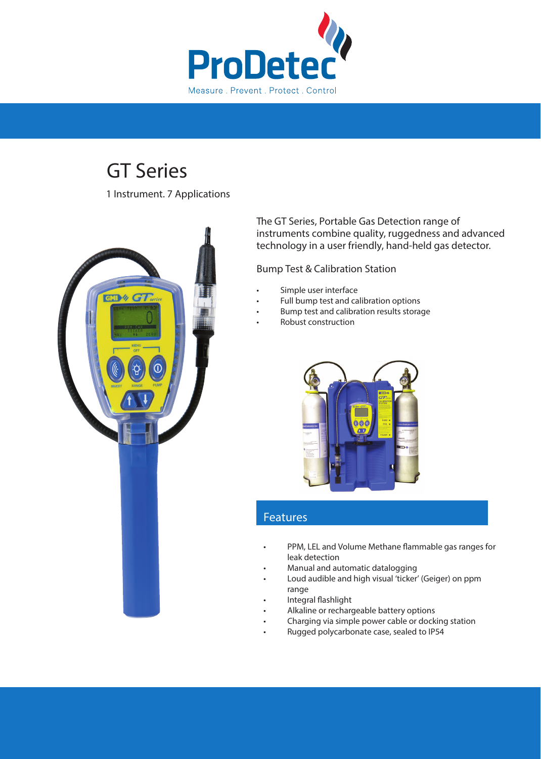

# 1 Instrument. 7 Applications **GT Series**



The GT Series, Portable Gas Detection range of instruments combine quality, ruggedness and advanced technology in a user friendly, hand-held gas detector.

# **Bump Test & Calibration Station**

- Simple user interface
- Full bump test and calibration options
- Bump test and calibration results storage
- Robust construction



# **Features**

- PPM, LEL and Volume Methane flammable gas ranges for leak detection
- Manual and automatic datalogging
- Loud audible and high visual 'ticker' (Geiger) on ppm range
- Integral flashlight
- Alkaline or rechargeable battery options
- Charging via simple power cable or docking station
- Rugged polycarbonate case, sealed to IP54